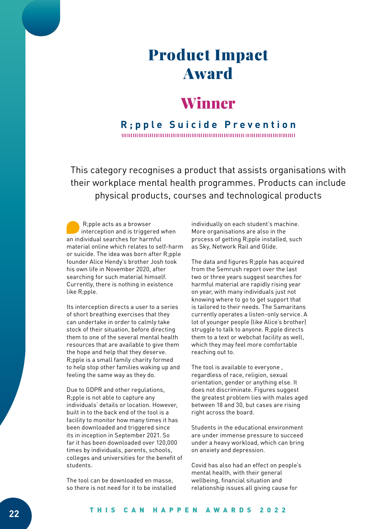# Product Impact Award

## Winner

#### **R;pple Suicide Prevention**

This category recognises a product that assists organisations with their workplace mental health programmes. Products can include physical products, courses and technological products

 R;pple acts as a browser interception and is triggered when an individual searches for harmful material online which relates to self-harm or suicide. The idea was born after R;pple founder Alice Hendy's brother Josh took his own life in November 2020, after searching for such material himself. Currently, there is nothing in existence like R;pple.

Its interception directs a user to a series of short breathing exercises that they can undertake in order to calmly take stock of their situation, before directing them to one of the several mental health resources that are available to give them the hope and help that they deserve. R;pple is a small family charity formed to help stop other families waking up and feeling the same way as they do.

Due to GDPR and other regulations, R;pple is not able to capture any individuals' details or location. However, built in to the back end of the tool is a facility to monitor how many times it has been downloaded and triggered since its in inception in September 2021. So far it has been downloaded over 120,000 times by individuals, parents, schools, colleges and universities for the benefit of students.

The tool can be downloaded en masse, so there is not need for it to be installed individually on each student's machine. More organisations are also in the process of getting R;pple installed, such as Sky, Network Rail and Glide.

The data and figures R;pple has acquired from the Semrush report over the last two or three years suggest searches for harmful material are rapidly rising year on year, with many individuals just not knowing where to go to get support that is tailored to their needs. The Samaritans currently operates a listen-only service. A lot of younger people (like Alice's brother) struggle to talk to anyone. R;pple directs them to a text or webchat facility as well, which they may feel more comfortable reaching out to.

The tool is available to everyone , regardless of race, religion, sexual orientation, gender or anything else. It does not discriminate. Figures suggest the greatest problem lies with males aged between 18 and 30, but cases are rising right across the board.

Students in the educational environment are under immense pressure to succeed under a heavy workload, which can bring on anxiety and depression.

Covid has also had an effect on people's mental health, with their general wellbeing, financial situation and relationship issues all giving cause for